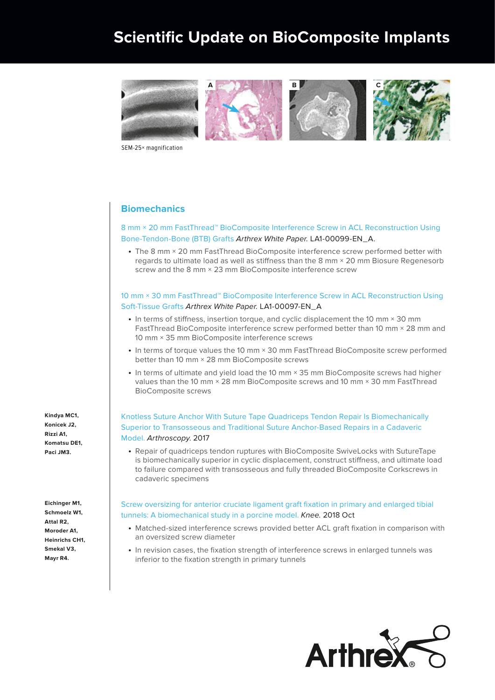# **Scientific Update on BioComposite Implants**



SEM-25× magnification

## **Biomechanics**

8 mm × 20 mm FastThread™ BioComposite Interference Screw in ACL Reconstruction Using Bone-Tendon-Bone (BTB) Grafts Arthrex White Paper. LA1-00099-EN\_A.

• The 8 mm × 20 mm FastThread BioComposite interference screw performed better with regards to ultimate load as well as stiffness than the 8 mm × 20 mm Biosure Regenesorb screw and the 8 mm × 23 mm BioComposite interference screw

10 mm × 30 mm FastThread™ BioComposite Interference Screw in ACL Reconstruction Using Soft-Tissue Grafts Arthrex White Paper. LA1-00097-EN\_A

- In terms of stiffness, insertion torque, and cyclic displacement the 10 mm × 30 mm FastThread BioComposite interference screw performed better than 10 mm × 28 mm and 10 mm × 35 mm BioComposite interference screws
- In terms of torque values the 10 mm × 30 mm FastThread BioComposite screw performed better than 10 mm × 28 mm BioComposite screws
- In terms of ultimate and yield load the 10 mm × 35 mm BioComposite screws had higher values than the 10 mm × 28 mm BioComposite screws and 10 mm × 30 mm FastThread BioComposite screws

Knotless Suture Anchor With Suture Tape Quadriceps Tendon Repair Is Biomechanically Superior to Transosseous and Traditional Suture Anchor-Based Repairs in a Cadaveric Model. Arthroscopy. 2017

• Repair of quadriceps tendon ruptures with BioComposite SwiveLocks with SutureTape is biomechanically superior in cyclic displacement, construct stiffness, and ultimate load to failure compared with transosseous and fully threaded BioComposite Corkscrews in cadaveric specimens

Screw oversizing for anterior cruciate ligament graft fixation in primary and enlarged tibial tunnels: A biomechanical study in a porcine model. Knee. 2018 Oct

- Matched-sized interference screws provided better ACL graft fixation in comparison with an oversized screw diameter
- In revision cases, the fixation strength of interference screws in enlarged tunnels was inferior to the fixation strength in primary tunnels

**Kindya MC1, Konicek J2, Rizzi A1 Komatsu DE1, Paci JM3.**

**Eichinger M1, Schmoelz W1, Attal R2, Moroder A1, Heinrichs CH1, Smekal V3, Mayr R4.**

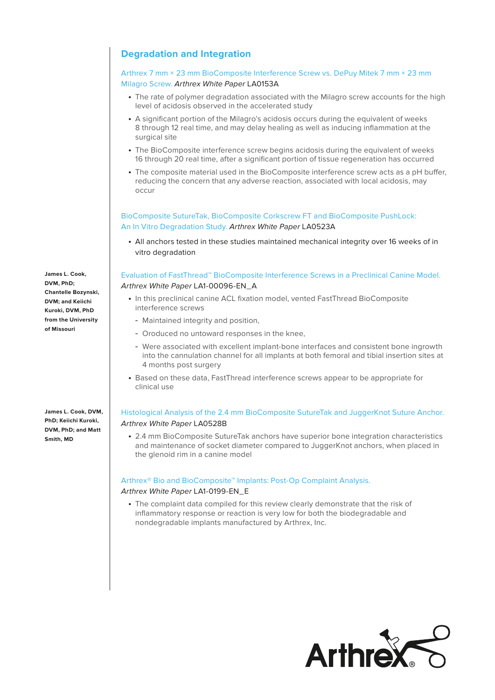## **Degradation and Integration**

## Arthrex 7 mm × 23 mm BioComposite Interference Screw vs. DePuy Mitek 7 mm × 23 mm Milagro Screw. Arthrex White Paper LA0153A

- The rate of polymer degradation associated with the Milagro screw accounts for the high level of acidosis observed in the accelerated study
- A significant portion of the Milagro's acidosis occurs during the equivalent of weeks 8 through 12 real time, and may delay healing as well as inducing inflammation at the surgical site
- The BioComposite interference screw begins acidosis during the equivalent of weeks 16 through 20 real time, after a significant portion of tissue regeneration has occurred
- The composite material used in the BioComposite interference screw acts as a pH buffer, reducing the concern that any adverse reaction, associated with local acidosis, may occur

#### BioComposite SutureTak, BioComposite Corkscrew FT and BioComposite PushLock: An In Vitro Degradation Study. Arthrex White Paper LA0523A

• All anchors tested in these studies maintained mechanical integrity over 16 weeks of in vitro degradation

## Evaluation of FastThread™ BioComposite Interference Screws in a Preclinical Canine Model. Arthrex White Paper LA1-00096-EN\_A

- In this preclinical canine ACL fixation model, vented FastThread BioComposite interference screws
	- Maintained integrity and position,
	- Oroduced no untoward responses in the knee,
	- Were associated with excellent implant-bone interfaces and consistent bone ingrowth into the cannulation channel for all implants at both femoral and tibial insertion sites at 4 months post surgery
- Based on these data, FastThread interference screws appear to be appropriate for clinical use

## Histological Analysis of the 2.4 mm BioComposite SutureTak and JuggerKnot Suture Anchor. Arthrex White Paper LA0528B

• 2.4 mm BioComposite SutureTak anchors have superior bone integration characteristics and maintenance of socket diameter compared to JuggerKnot anchors, when placed in the glenoid rim in a canine model

#### Arthrex® Bio and BioComposite™ Implants: Post-Op Complaint Analysis. Arthrex White Paper LA1-0199-EN E

• The complaint data compiled for this review clearly demonstrate that the risk of inflammatory response or reaction is very low for both the biodegradable and nondegradable implants manufactured by Arthrex, Inc.

**Arthrex** 

**James L. Cook, DVM, PhD; Chantelle Bozynski, DVM; and Keiichi Kuroki, DVM, PhD from the University of Missouri**

**James L. Cook, DVM, PhD; Keiichi Kuroki, DVM, PhD; and Matt Smith, MD**